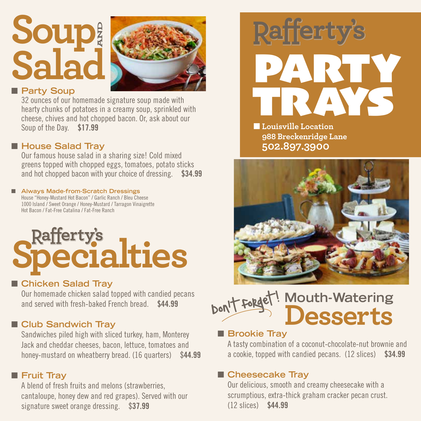## **Soup Salad AND**



#### **n** Party Soup

32 ounces of our homemade signature soup made with hearty chunks of potatoes in a creamy soup, sprinkled with cheese, chives and hot chopped bacon. Or, ask about our Soup of the Day. \$17.99

#### ■ House Salad Tray

Our famous house salad in a sharing size! Cold mixed greens topped with chopped eggs, tomatoes, potato sticks and hot chopped bacon with your choice of dressing. \$34.99

#### ■ Always Made-from-Scratch Dressings House "Honey-Mustard Hot Bacon" / Garlic Ranch / Bleu Cheese

1000 Island / Sweet Orange / Honey-Mustard / Tarragon Vinaigrette Hot Bacon / Fat-Free Catalina / Fat-Free Ranch

# **Rafferty's**<br>**Pecialties**

#### ■ Chicken Salad Tray

Our homemade chicken salad topped with candied pecans and served with fresh-baked French bread. \$44.99

#### **n** Club Sandwich Tray

Sandwiches piled high with sliced turkey, ham, Monterey Jack and cheddar cheeses, bacon, lettuce, tomatoes and honey-mustard on wheatberry bread. (16 quarters) \$44.99

#### **n** Fruit Tray

A blend of fresh fruits and melons (strawberries, cantaloupe, honey dew and red grapes). Served with our signature sweet orange dressing. \$37.99



**nLouisville Location 988 Breckenridge Lane 502.897.3900**



#### **Mouth-Watering Desserts** Don't forget!  $\overline{\phantom{a}}$

#### **n** Brookie Tray

A tasty combination of a coconut-chocolate-nut brownie and a cookie, topped with candied pecans. (12 slices) \$34.99

#### ■ Cheesecake Tray

Our delicious, smooth and creamy cheesecake with a scrumptious, extra-thick graham cracker pecan crust. (12 slices) \$44.99